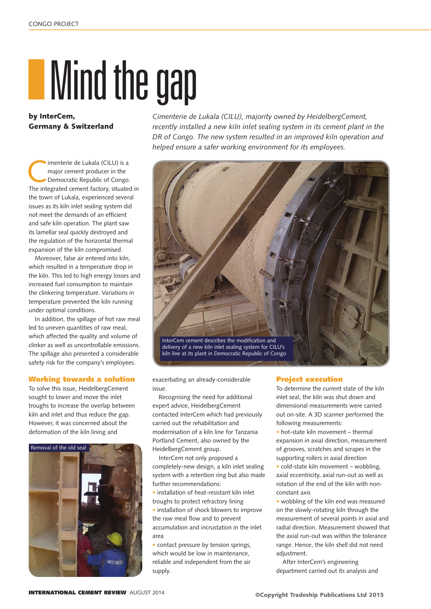## **IMind the gap**

by InterCem, Germany & Switzerland

Imenterie de Lukala (CILU) is a<br>
major cement producer in the<br>
Democratic Republic of Congo.<br>
The integrated cement factory situated major cement producer in the The integrated cement factory, situated in the town of Lukala, experienced several issues as its kiln inlet sealing system did not meet the demands of an efficient and safe kiln operation. The plant saw its lamellar seal quickly destroyed and the regulation of the horizontal thermal expansion of the kiln compromised.

Moreover, false air entered into kiln, which resulted in a temperature drop in the kiln. This led to high energy losses and increased fuel consumption to maintain the clinkering temperature. Variations in temperature prevented the kiln running under optimal conditions.

In addition, the spillage of hot raw meal led to uneven quantities of raw meal, which affected the quality and volume of clinker as well as uncontrollable emissions. The spillage also presented a considerable safety risk for the company's employees.

## Working towards a solution

To solve this issue, HeidelbergCement sought to lower and move the inlet troughs to increase the overlap between kiln and inlet and thus reduce the gap. However, it was concerned about the deformation of the kiln lining and



*Cimenterie de Lukala (CILU), majority owned by HeidelbergCement, recently installed a new kiln inlet sealing system in its cement plant in the DR of Congo. The new system resulted in an improved kiln operation and helped ensure a safer working environment for its employees.*



exacerbating an already-considerable issue.

Recognising the need for additional expert advice, HeidelbergCement contacted InterCem which had previously carried out the rehabilitation and modernisation of a kiln line for Tanzania Portland Cement, also owned by the HeidelbergCement group.

InterCem not only proposed a completely-new design, a kiln inlet sealing system with a retention ring but also made further recommendations:

• installation of heat-resistant kiln inlet troughs to protect refractory lining

• installation of shock blowers to improve the raw meal flow and to prevent accumulation and incrustation in the inlet area

• contact pressure by tension springs. which would be low in maintenance, reliable and independent from the air supply.

## Project execution

To determine the current state of the kiln inlet seal, the kiln was shut down and dimensional measurements were carried out on-site. A 3D scanner performed the following measurements:

• hot-state kiln movement – thermal expansion in axial direction, measurement of grooves, scratches and scrapes in the supporting rollers in axial direction

• cold-state kiln movement – wobbling, axial eccentricity, axial run-out as well as rotation of the end of the kiln with nonconstant axis

• wobbling of the kiln end was measured on the slowly-rotating kiln through the measurement of several points in axial and radial direction. Measurement showed that the axial run-out was within the tolerance range. Hence, the kiln shell did not need adjustment.

After InterCem's engineering department carried out its analysis and